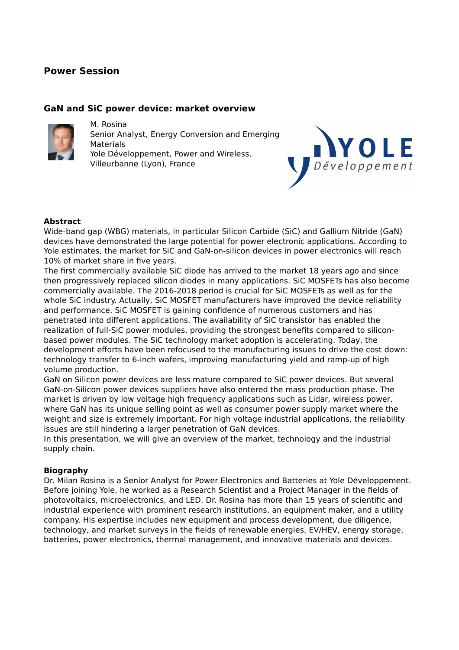## **Power Session**

### **GaN and SiC power device: market overview**



M. Rosina Senior Analyst, Energy Conversion and Emerging Materials Yole Développement, Power and Wireless, Villeurbanne (Lyon), France



### **Abstract**

Wide-band gap (WBG) materials, in particular Silicon Carbide (SiC) and Gallium Nitride (GaN) devices have demonstrated the large potential for power electronic applications. According to Yole estimates, the market for SiC and GaN-on-silicon devices in power electronics will reach 10% of market share in five years.

The first commercially available SiC diode has arrived to the market 18 years ago and since then progressively replaced silicon diodes in many applications. SiC MOSFETs has also become commercially available. The 2016-2018 period is crucial for SiC MOSFETs as well as for the whole SiC industry. Actually, SiC MOSFET manufacturers have improved the device reliability and performance. SiC MOSFET is gaining confidence of numerous customers and has penetrated into different applications. The availability of SiC transistor has enabled the realization of full-SiC power modules, providing the strongest benefits compared to siliconbased power modules. The SiC technology market adoption is accelerating. Today, the development efforts have been refocused to the manufacturing issues to drive the cost down: technology transfer to 6-inch wafers, improving manufacturing yield and ramp-up of high volume production.

GaN on Silicon power devices are less mature compared to SiC power devices. But several GaN-on-Silicon power devices suppliers have also entered the mass production phase. The market is driven by low voltage high frequency applications such as Lidar, wireless power, where GaN has its unique selling point as well as consumer power supply market where the weight and size is extremely important. For high voltage industrial applications, the reliability issues are still hindering a larger penetration of GaN devices.

In this presentation, we will give an overview of the market, technology and the industrial supply chain.

#### **Biography**

Dr. Milan Rosina is a Senior Analyst for Power Electronics and Batteries at Yole Développement. Before joining Yole, he worked as a Research Scientist and a Project Manager in the fields of photovoltaics, microelectronics, and LED. Dr. Rosina has more than 15 years of scientific and industrial experience with prominent research institutions, an equipment maker, and a utility company. His expertise includes new equipment and process development, due diligence, technology, and market surveys in the fields of renewable energies, EV/HEV, energy storage, batteries, power electronics, thermal management, and innovative materials and devices.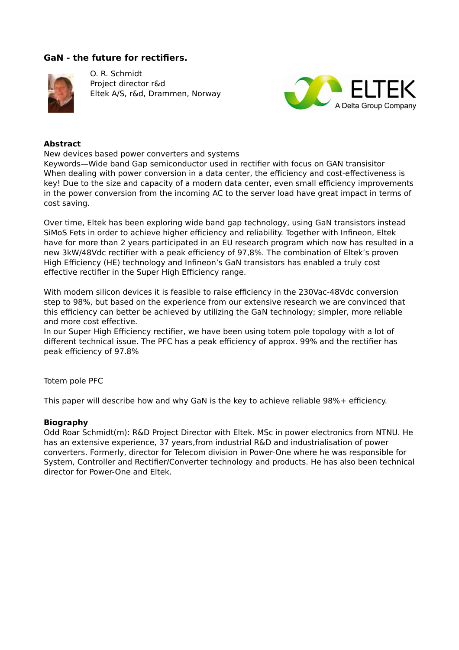## **GaN - the future for rectifiers.**



O. R. Schmidt Project director r&d Eltek A/S, r&d, Drammen, Norway



#### **Abstract**

New devices based power converters and systems

Keywords—Wide band Gap semiconductor used in rectifier with focus on GAN transisitor When dealing with power conversion in a data center, the efficiency and cost-effectiveness is key! Due to the size and capacity of a modern data center, even small efficiency improvements in the power conversion from the incoming AC to the server load have great impact in terms of cost saving.

Over time, Eltek has been exploring wide band gap technology, using GaN transistors instead SiMoS Fets in order to achieve higher efficiency and reliability. Together with Infineon, Eltek have for more than 2 years participated in an EU research program which now has resulted in a new 3kW/48Vdc rectifier with a peak efficiency of 97,8%. The combination of Eltek's proven High Efficiency (HE) technology and Infineon's GaN transistors has enabled a truly cost effective rectifier in the Super High Efficiency range.

With modern silicon devices it is feasible to raise efficiency in the 230Vac-48Vdc conversion step to 98%, but based on the experience from our extensive research we are convinced that this efficiency can better be achieved by utilizing the GaN technology; simpler, more reliable and more cost effective.

In our Super High Efficiency rectifier, we have been using totem pole topology with a lot of different technical issue. The PFC has a peak efficiency of approx. 99% and the rectifier has peak efficiency of 97.8%

Totem pole PFC

This paper will describe how and why GaN is the key to achieve reliable 98%+ efficiency.

## **Biography**

Odd Roar Schmidt(m): R&D Project Director with Eltek. MSc in power electronics from NTNU. He has an extensive experience, 37 years,from industrial R&D and industrialisation of power converters. Formerly, director for Telecom division in Power-One where he was responsible for System, Controller and Rectifier/Converter technology and products. He has also been technical director for Power-One and Eltek.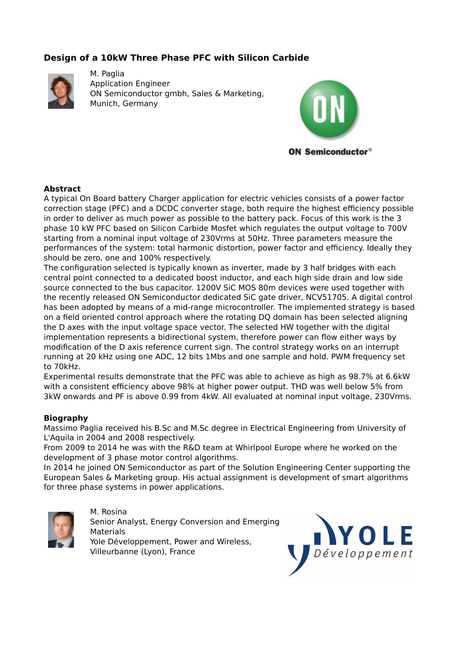# **Design of a 10kW Three Phase PFC with Silicon Carbide**



M. Paglia Application Engineer ON Semiconductor gmbh, Sales & Marketing, Munich, Germany



## **Abstract**

A typical On Board battery Charger application for electric vehicles consists of a power factor correction stage (PFC) and a DCDC converter stage, both require the highest efficiency possible in order to deliver as much power as possible to the battery pack. Focus of this work is the 3 phase 10 kW PFC based on Silicon Carbide Mosfet which regulates the output voltage to 700V starting from a nominal input voltage of 230Vrms at 50Hz. Three parameters measure the performances of the system: total harmonic distortion, power factor and efficiency. Ideally they should be zero, one and 100% respectively.

The configuration selected is typically known as inverter, made by 3 half bridges with each central point connected to a dedicated boost inductor, and each high side drain and low side source connected to the bus capacitor. 1200V SiC MOS 80m devices were used together with the recently released ON Semiconductor dedicated SiC gate driver, NCV51705. A digital control has been adopted by means of a mid-range microcontroller. The implemented strategy is based on a field oriented control approach where the rotating DQ domain has been selected aligning the D axes with the input voltage space vector. The selected HW together with the digital implementation represents a bidirectional system, therefore power can flow either ways by modification of the D axis reference current sign. The control strategy works on an interrupt running at 20 kHz using one ADC, 12 bits 1Mbs and one sample and hold. PWM frequency set to 70kHz.

Experimental results demonstrate that the PFC was able to achieve as high as 98.7% at 6.6kW with a consistent efficiency above 98% at higher power output. THD was well below 5% from 3kW onwards and PF is above 0.99 from 4kW. All evaluated at nominal input voltage, 230Vrms.

## **Biography**

Massimo Paglia received his B.Sc and M.Sc degree in Electrical Engineering from University of L'Aquila in 2004 and 2008 respectively.

From 2009 to 2014 he was with the R&D team at Whirlpool Europe where he worked on the development of 3 phase motor control algorithms.

In 2014 he joined ON Semiconductor as part of the Solution Engineering Center supporting the European Sales & Marketing group. His actual assignment is development of smart algorithms for three phase systems in power applications.



M. Rosina Senior Analyst, Energy Conversion and Emerging Materials Yole Développement, Power and Wireless, Villeurbanne (Lyon), France

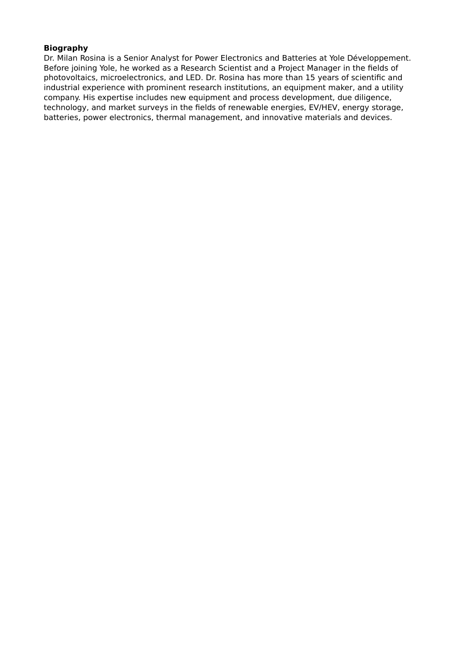## **Biography**

Dr. Milan Rosina is a Senior Analyst for Power Electronics and Batteries at Yole Développement. Before joining Yole, he worked as a Research Scientist and a Project Manager in the fields of photovoltaics, microelectronics, and LED. Dr. Rosina has more than 15 years of scientific and industrial experience with prominent research institutions, an equipment maker, and a utility company. His expertise includes new equipment and process development, due diligence, technology, and market surveys in the fields of renewable energies, EV/HEV, energy storage, batteries, power electronics, thermal management, and innovative materials and devices.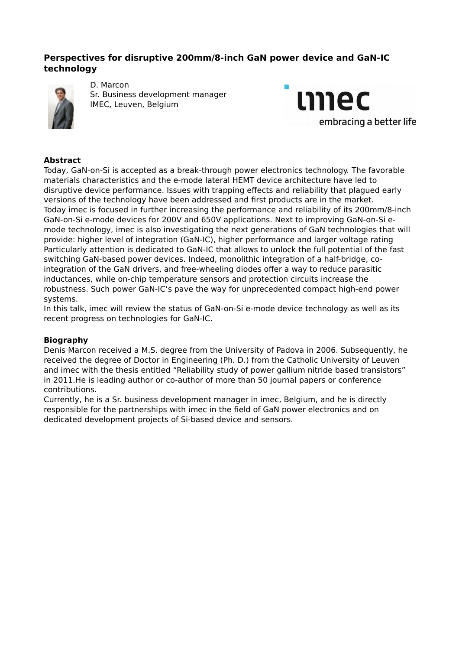# **Perspectives for disruptive 200mm/8-inch GaN power device and GaN-IC technology**



D. Marcon Sr. Business development manager IMEC, Leuven, Belgium



## **Abstract**

Today, GaN-on-Si is accepted as a break-through power electronics technology. The favorable materials characteristics and the e-mode lateral HEMT device architecture have led to disruptive device performance. Issues with trapping effects and reliability that plagued early versions of the technology have been addressed and first products are in the market. Today imec is focused in further increasing the performance and reliability of its 200mm/8-inch GaN-on-Si e-mode devices for 200V and 650V applications. Next to improving GaN-on-Si emode technology, imec is also investigating the next generations of GaN technologies that will provide: higher level of integration (GaN-IC), higher performance and larger voltage rating Particularly attention is dedicated to GaN-IC that allows to unlock the full potential of the fast switching GaN-based power devices. Indeed, monolithic integration of a half-bridge, cointegration of the GaN drivers, and free-wheeling diodes offer a way to reduce parasitic inductances, while on-chip temperature sensors and protection circuits increase the robustness. Such power GaN-IC's pave the way for unprecedented compact high-end power systems.

In this talk, imec will review the status of GaN-on-Si e-mode device technology as well as its recent progress on technologies for GaN-IC.

## **Biography**

Denis Marcon received a M.S. degree from the University of Padova in 2006. Subsequently, he received the degree of Doctor in Engineering (Ph. D.) from the Catholic University of Leuven and imec with the thesis entitled "Reliability study of power gallium nitride based transistors" in 2011.He is leading author or co-author of more than 50 journal papers or conference contributions.

Currently, he is a Sr. business development manager in imec, Belgium, and he is directly responsible for the partnerships with imec in the field of GaN power electronics and on dedicated development projects of Si-based device and sensors.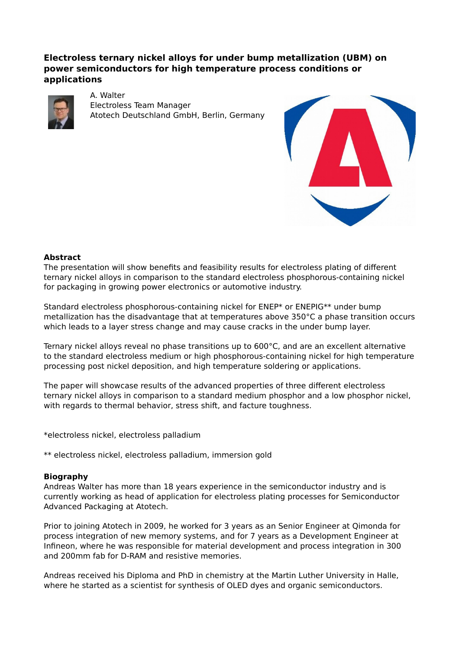# **Electroless ternary nickel alloys for under bump metallization (UBM) on power semiconductors for high temperature process conditions or applications**



A. Walter Electroless Team Manager Atotech Deutschland GmbH, Berlin, Germany



### **Abstract**

The presentation will show benefits and feasibility results for electroless plating of different ternary nickel alloys in comparison to the standard electroless phosphorous-containing nickel for packaging in growing power electronics or automotive industry.

Standard electroless phosphorous-containing nickel for ENEP\* or ENEPIG\*\* under bump metallization has the disadvantage that at temperatures above 350°C a phase transition occurs which leads to a layer stress change and may cause cracks in the under bump layer.

Ternary nickel alloys reveal no phase transitions up to 600°C, and are an excellent alternative to the standard electroless medium or high phosphorous-containing nickel for high temperature processing post nickel deposition, and high temperature soldering or applications.

The paper will showcase results of the advanced properties of three different electroless ternary nickel alloys in comparison to a standard medium phosphor and a low phosphor nickel, with regards to thermal behavior, stress shift, and facture toughness.

\*electroless nickel, electroless palladium

\*\* electroless nickel, electroless palladium, immersion gold

#### **Biography**

Andreas Walter has more than 18 years experience in the semiconductor industry and is currently working as head of application for electroless plating processes for Semiconductor Advanced Packaging at Atotech.

Prior to joining Atotech in 2009, he worked for 3 years as an Senior Engineer at Qimonda for process integration of new memory systems, and for 7 years as a Development Engineer at Infineon, where he was responsible for material development and process integration in 300 and 200mm fab for D-RAM and resistive memories.

Andreas received his Diploma and PhD in chemistry at the Martin Luther University in Halle, where he started as a scientist for synthesis of OLED dyes and organic semiconductors.